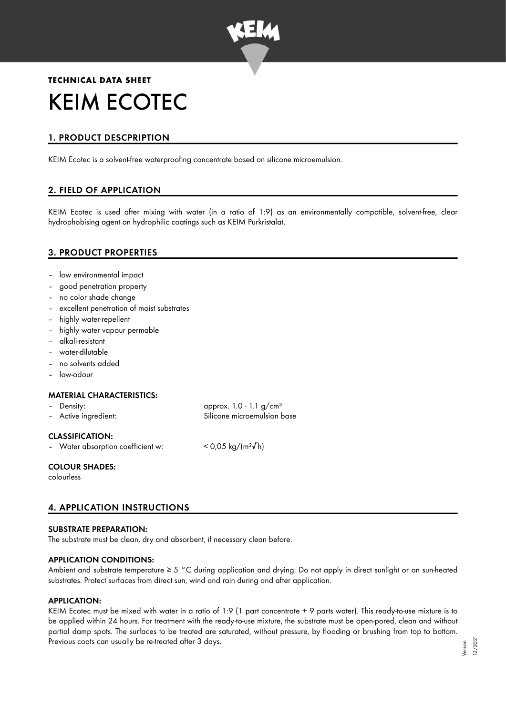

# **TECHNICAL DATA SHEET** KEIM ECOTEC

# 1. PRODUCT DESCPRIPTION

KEIM Ecotec is a solvent-free waterproofing concentrate based on silicone microemulsion.

## 2. FIELD OF APPLICATION

KEIM Ecotec is used after mixing with water (in a ratio of 1:9) as an environmentally compatible, solvent-free, clear hydrophobising agent on hydrophilic coatings such as KEIM Purkristalat.

## 3. PRODUCT PROPERTIES

- low environmental impact
- good penetration property
- no color shade change
- excellent penetration of moist substrates
- highly water-repellent
- highly water vapour permable
- alkali-resistant
- water-dilutable
- no solvents added
- low-odour

#### MATERIAL CHARACTERISTICS:

| – Density:           | approx. $1.0 - 1.1$ g/cm <sup>3</sup> |
|----------------------|---------------------------------------|
| - Active ingredient: | Silicone microemulsion base           |

#### CLASSIFICATION:

– Water absorption coefficient w: < 0,05 kg/(m²√h)

COLOUR SHADES:

colourless

## 4. APPLICATION INSTRUCTIONS

#### SUBSTRATE PREPARATION:

The substrate must be clean, dry and absorbent, if necessary clean before.

#### APPLICATION CONDITIONS:

Ambient and substrate temperature ≥ 5 °C during application and drying. Do not apply in direct sunlight or on sun-heated substrates. Protect surfaces from direct sun, wind and rain during and after application.

#### APPLICATION:

KEIM Ecotec must be mixed with water in a ratio of 1:9 (1 part concentrate + 9 parts water). This ready-to-use mixture is to be applied within 24 hours. For treatment with the ready-to-use mixture, the substrate must be open-pored, clean and without partial damp spots. The surfaces to be treated are saturated, without pressure, by flooding or brushing from top to bottom. Previous coats can usually be re-treated after 3 days.